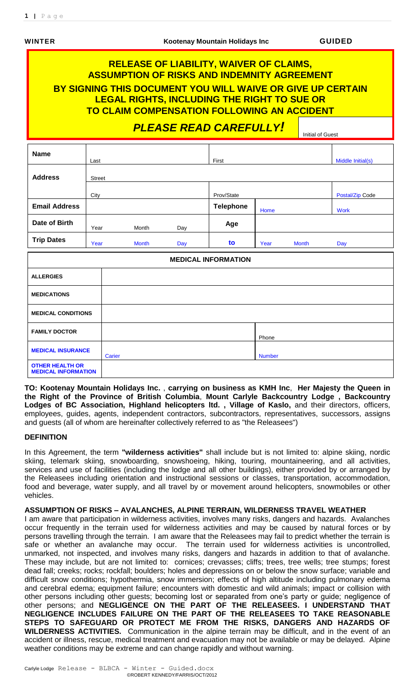# **RELEASE OF LIABILITY, WAIVER OF CLAIMS, ASSUMPTION OF RISKS AND INDEMNITY AGREEMENT BY SIGNING THIS DOCUMENT YOU WILL WAIVE OR GIVE UP CERTAIN LEGAL RIGHTS, INCLUDING THE RIGHT TO SUE OR TO CLAIM COMPENSATION FOLLOWING AN ACCIDENT** *PLEASE READ CAREFULLY!* Initial of Guest

| <b>Name</b>                                          | Last          |        |              |     | First                      |               |              | Middle Initial(s) |
|------------------------------------------------------|---------------|--------|--------------|-----|----------------------------|---------------|--------------|-------------------|
| <b>Address</b>                                       | <b>Street</b> |        |              |     |                            |               |              |                   |
|                                                      | City          |        |              |     | Prov/State                 |               |              | Postal/Zip Code   |
| <b>Email Address</b>                                 |               |        |              |     | <b>Telephone</b>           | Home          |              | <b>Work</b>       |
| Date of Birth                                        | Year          |        | Month        | Day | Age                        |               |              |                   |
| <b>Trip Dates</b><br>Year                            |               |        | <b>Month</b> | Day | to                         | Year          | <b>Month</b> | Day               |
|                                                      |               |        |              |     | <b>MEDICAL INFORMATION</b> |               |              |                   |
| <b>ALLERGIES</b>                                     |               |        |              |     |                            |               |              |                   |
| <b>MEDICATIONS</b>                                   |               |        |              |     |                            |               |              |                   |
| <b>MEDICAL CONDITIONS</b>                            |               |        |              |     |                            |               |              |                   |
| <b>FAMILY DOCTOR</b>                                 |               |        |              |     |                            | Phone         |              |                   |
| <b>MEDICAL INSURANCE</b>                             |               | Carier |              |     |                            | <b>Number</b> |              |                   |
| <b>OTHER HEALTH OR</b><br><b>MEDICAL INFORMATION</b> |               |        |              |     |                            |               |              |                   |

**TO: Kootenay Mountain Holidays Inc.** , **carrying on business as KMH Inc**, **Her Majesty the Queen in the Right of the Province of British Columbia**, **Mount Carlyle Backcountry Lodge , Backcountry Lodges of BC Association, Highland helicopters ltd. , Village of Kaslo,** and their directors, officers, employees, guides, agents, independent contractors, subcontractors, representatives, successors, assigns and guests (all of whom are hereinafter collectively referred to as "the Releasees")

#### **DEFINITION**

In this Agreement, the term **"wilderness activities"** shall include but is not limited to: alpine skiing, nordic skiing, telemark skiing, snowboarding, snowshoeing, hiking, touring, mountaineering, and all activities, services and use of facilities (including the lodge and all other buildings), either provided by or arranged by the Releasees including orientation and instructional sessions or classes, transportation, accommodation, food and beverage, water supply, and all travel by or movement around helicopters, snowmobiles or other vehicles.

### **ASSUMPTION OF RISKS – AVALANCHES, ALPINE TERRAIN, WILDERNESS TRAVEL WEATHER**

I am aware that participation in wilderness activities, involves many risks, dangers and hazards. Avalanches occur frequently in the terrain used for wilderness activities and may be caused by natural forces or by persons travelling through the terrain. I am aware that the Releasees may fail to predict whether the terrain is safe or whether an avalanche may occur. The terrain used for wilderness activities is uncontrolled, unmarked, not inspected, and involves many risks, dangers and hazards in addition to that of avalanche. These may include, but are not limited to: cornices; crevasses; cliffs; trees, tree wells; tree stumps; forest dead fall; creeks; rocks; rockfall; boulders; holes and depressions on or below the snow surface; variable and difficult snow conditions; hypothermia, snow immersion; effects of high altitude including pulmonary edema and cerebral edema; equipment failure; encounters with domestic and wild animals; impact or collision with other persons including other guests; becoming lost or separated from one's party or guide; negligence of other persons; and **NEGLIGENCE ON THE PART OF THE RELEASEES. I UNDERSTAND THAT NEGLIGENCE INCLUDES FAILURE ON THE PART OF THE RELEASEES TO TAKE REASONABLE STEPS TO SAFEGUARD OR PROTECT ME FROM THE RISKS, DANGERS AND HAZARDS OF WILDERNESS ACTIVITIES.** Communication in the alpine terrain may be difficult, and in the event of an accident or illness, rescue, medical treatment and evacuation may not be available or may be delayed. Alpine weather conditions may be extreme and can change rapidly and without warning.